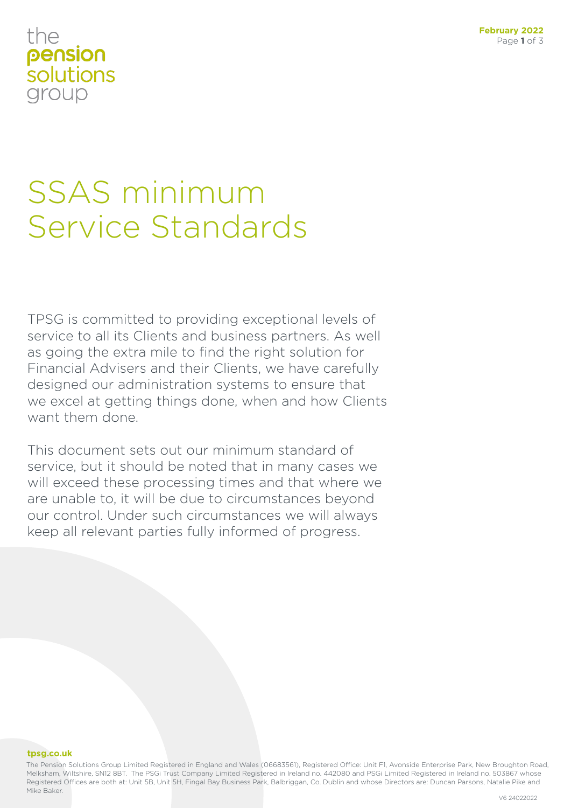### the pension solutions group

## SSAS minimum Service Standards

TPSG is committed to providing exceptional levels of service to all its Clients and business partners. As well as going the extra mile to find the right solution for Financial Advisers and their Clients, we have carefully designed our administration systems to ensure that we excel at getting things done, when and how Clients want them done.

This document sets out our minimum standard of service, but it should be noted that in many cases we will exceed these processing times and that where we are unable to, it will be due to circumstances beyond our control. Under such circumstances we will always keep all relevant parties fully informed of progress.

#### **tpsg.co.uk**

The Pension Solutions Group Limited Registered in England and Wales (06683561), Registered Office: Unit F1, Avonside Enterprise Park, New Broughton Road, Melksham, Wiltshire, SN12 8BT. The PSGi Trust Company Limited Registered in Ireland no. 442080 and PSGi Limited Registered in Ireland no. 503867 whose Registered Offices are both at: Unit 5B, Unit 5H, Fingal Bay Business Park, Balbriggan, Co. Dublin and whose Directors are: Duncan Parsons, Natalie Pike and Mike Baker.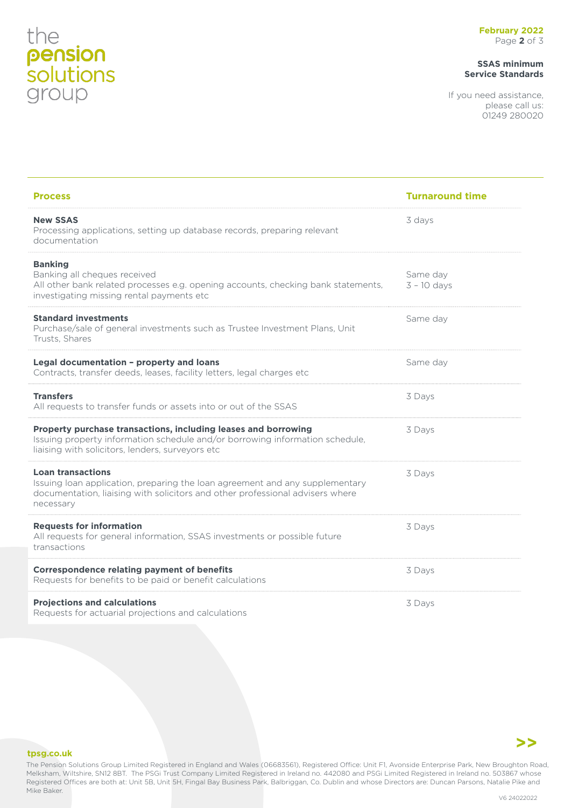# the<br>**pension**<br>**solutions**<br>group

#### **SSAS minimum Service Standards**

If you need assistance, please call us: 01249 280020

| <b>Process</b>                                                                                                                                                                                         | <b>Turnaround time</b>    |
|--------------------------------------------------------------------------------------------------------------------------------------------------------------------------------------------------------|---------------------------|
| <b>New SSAS</b><br>Processing applications, setting up database records, preparing relevant<br>documentation                                                                                           | 3 days                    |
| <b>Banking</b><br>Banking all cheques received<br>All other bank related processes e.g. opening accounts, checking bank statements,<br>investigating missing rental payments etc                       | Same day<br>$3 - 10$ days |
| <b>Standard investments</b><br>Purchase/sale of general investments such as Trustee Investment Plans, Unit<br>Trusts, Shares                                                                           | Same day                  |
| Legal documentation - property and loans<br>Contracts, transfer deeds, leases, facility letters, legal charges etc                                                                                     | Same day                  |
| <b>Transfers</b><br>All requests to transfer funds or assets into or out of the SSAS                                                                                                                   | 3 Days                    |
| Property purchase transactions, including leases and borrowing<br>Issuing property information schedule and/or borrowing information schedule,<br>liaising with solicitors, lenders, surveyors etc     | 3 Days                    |
| <b>Loan transactions</b><br>Issuing loan application, preparing the loan agreement and any supplementary<br>documentation, liaising with solicitors and other professional advisers where<br>necessary | 3 Days                    |
| <b>Requests for information</b><br>All requests for general information, SSAS investments or possible future<br>transactions                                                                           | 3 Days                    |
| <b>Correspondence relating payment of benefits</b><br>Requests for benefits to be paid or benefit calculations                                                                                         | 3 Days                    |
| <b>Projections and calculations</b><br>Requests for actuarial projections and calculations                                                                                                             | 3 Days                    |



#### **tpsg.co.uk**

The Pension Solutions Group Limited Registered in England and Wales (06683561), Registered Office: Unit F1, Avonside Enterprise Park, New Broughton Road, Melksham, Wiltshire, SN12 8BT. The PSGi Trust Company Limited Registered in Ireland no. 442080 and PSGi Limited Registered in Ireland no. 503867 whose Registered Offices are both at: Unit 5B, Unit 5H, Fingal Bay Business Park, Balbriggan, Co. Dublin and whose Directors are: Duncan Parsons, Natalie Pike and Mike Baker.